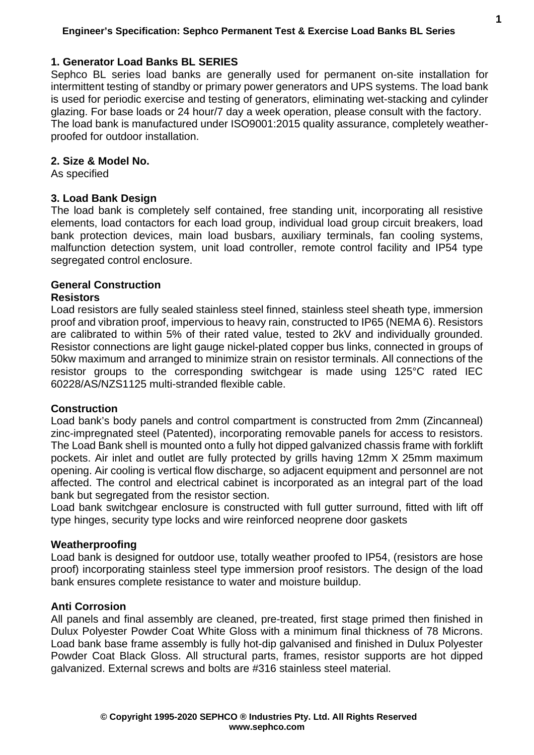## **1. Generator Load Banks BL SERIES**

Sephco BL series load banks are generally used for permanent on-site installation for intermittent testing of standby or primary power generators and UPS systems. The load bank is used for periodic exercise and testing of generators, eliminating wet-stacking and cylinder glazing. For base loads or 24 hour/7 day a week operation, please consult with the factory. The load bank is manufactured under ISO9001:2015 quality assurance, completely weatherproofed for outdoor installation.

### **2. Size & Model No.**

As specified

### **3. Load Bank Design**

The load bank is completely self contained, free standing unit, incorporating all resistive elements, load contactors for each load group, individual load group circuit breakers, load bank protection devices, main load busbars, auxiliary terminals, fan cooling systems, malfunction detection system, unit load controller, remote control facility and IP54 type segregated control enclosure.

#### **General Construction**

#### **Resistors**

Load resistors are fully sealed stainless steel finned, stainless steel sheath type, immersion proof and vibration proof, impervious to heavy rain, constructed to IP65 (NEMA 6). Resistors are calibrated to within 5% of their rated value, tested to 2kV and individually grounded. Resistor connections are light gauge nickel-plated copper bus links, connected in groups of 50kw maximum and arranged to minimize strain on resistor terminals. All connections of the resistor groups to the corresponding switchgear is made using 125°C rated IEC 60228/AS/NZS1125 multi-stranded flexible cable.

#### **Construction**

Load bank's body panels and control compartment is constructed from 2mm (Zincanneal) zinc-impregnated steel (Patented), incorporating removable panels for access to resistors. The Load Bank shell is mounted onto a fully hot dipped galvanized chassis frame with forklift pockets. Air inlet and outlet are fully protected by grills having 12mm X 25mm maximum opening. Air cooling is vertical flow discharge, so adjacent equipment and personnel are not affected. The control and electrical cabinet is incorporated as an integral part of the load bank but segregated from the resistor section.

Load bank switchgear enclosure is constructed with full gutter surround, fitted with lift off type hinges, security type locks and wire reinforced neoprene door gaskets

### **Weatherproofing**

Load bank is designed for outdoor use, totally weather proofed to IP54, (resistors are hose proof) incorporating stainless steel type immersion proof resistors. The design of the load bank ensures complete resistance to water and moisture buildup.

### **Anti Corrosion**

All panels and final assembly are cleaned, pre-treated, first stage primed then finished in Dulux Polyester Powder Coat White Gloss with a minimum final thickness of 78 Microns. Load bank base frame assembly is fully hot-dip galvanised and finished in Dulux Polyester Powder Coat Black Gloss. All structural parts, frames, resistor supports are hot dipped galvanized. External screws and bolts are #316 stainless steel material.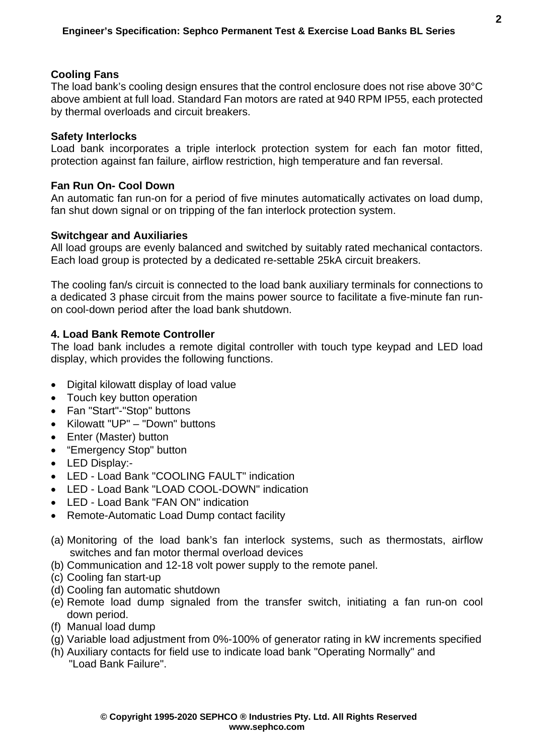## **Cooling Fans**

The load bank's cooling design ensures that the control enclosure does not rise above 30°C above ambient at full load. Standard Fan motors are rated at 940 RPM IP55, each protected by thermal overloads and circuit breakers.

### **Safety Interlocks**

Load bank incorporates a triple interlock protection system for each fan motor fitted, protection against fan failure, airflow restriction, high temperature and fan reversal.

## **Fan Run On- Cool Down**

An automatic fan run-on for a period of five minutes automatically activates on load dump, fan shut down signal or on tripping of the fan interlock protection system.

# **Switchgear and Auxiliaries**

All load groups are evenly balanced and switched by suitably rated mechanical contactors. Each load group is protected by a dedicated re-settable 25kA circuit breakers.

The cooling fan/s circuit is connected to the load bank auxiliary terminals for connections to a dedicated 3 phase circuit from the mains power source to facilitate a five-minute fan runon cool-down period after the load bank shutdown.

# **4. Load Bank Remote Controller**

The load bank includes a remote digital controller with touch type keypad and LED load display, which provides the following functions.

- Digital kilowatt display of load value
- Touch key button operation
- Fan "Start"-"Stop" buttons
- Kilowatt "UP" "Down" buttons
- Enter (Master) button
- "Emergency Stop" button
- LED Display:-
- LED Load Bank "COOLING FAULT" indication
- LED Load Bank "LOAD COOL-DOWN" indication
- LED Load Bank "FAN ON" indication
- Remote-Automatic Load Dump contact facility
- (a) Monitoring of the load bank's fan interlock systems, such as thermostats, airflow switches and fan motor thermal overload devices
- (b) Communication and 12-18 volt power supply to the remote panel.
- (c) Cooling fan start-up
- (d) Cooling fan automatic shutdown
- (e) Remote load dump signaled from the transfer switch, initiating a fan run-on cool down period.
- (f) Manual load dump
- (g) Variable load adjustment from 0%-100% of generator rating in kW increments specified
- (h) Auxiliary contacts for field use to indicate load bank "Operating Normally" and "Load Bank Failure".